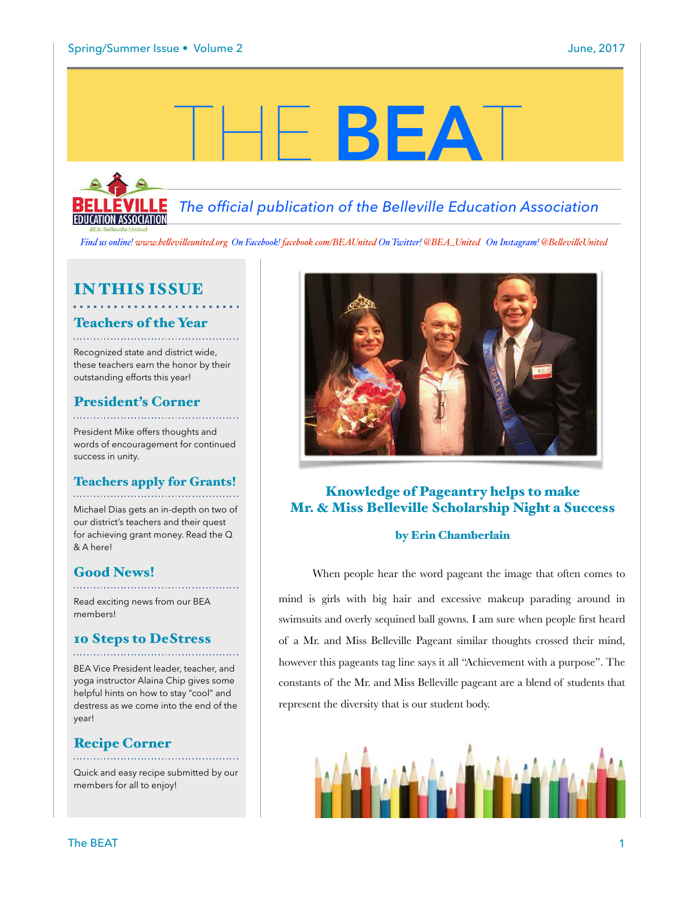# THE **BEA**T



 *The official publication of the Belleville Education Association*

*Find us online! www.be!evi![eunited.org](http://www.bellevilleunited.org) On Facebook! [facebook.com/BEAUnited](http://facebook.com/BEAUnited) On Twitter! @BEA\_United On Instagram! @Be!evi!eUnited*

# IN THIS ISSUE

# Teachers of the Year

Recognized state and district wide, these teachers earn the honor by their outstanding efforts this year!

# President's Corner

President Mike offers thoughts and words of encouragement for continued success in unity.

### Teachers apply for Grants!

Michael Dias gets an in-depth on two of our district's teachers and their quest for achieving grant money. Read the Q & A here!

# Good News!

Read exciting news from our BEA members!

# 10 Steps to DeStress

BEA Vice President leader, teacher, and yoga instructor Alaina Chip gives some helpful hints on how to stay "cool" and destress as we come into the end of the year!

# Recipe Corner

Quick and easy recipe submitted by our members for all to enjoy!



# Knowledge of Pageantry helps to make Mr. & Miss Belleville Scholarship Night a Success

### by Erin Chamberlain

When people hear the word pageant the image that often comes to mind is girls with big hair and excessive makeup parading around in swimsuits and overly sequined ball gowns. I am sure when people first heard of a Mr. and Miss Belleville Pageant similar thoughts crossed their mind, however this pageants tag line says it all "Achievement with a purpose". The constants of the Mr. and Miss Belleville pageant are a blend of students that represent the diversity that is our student body.

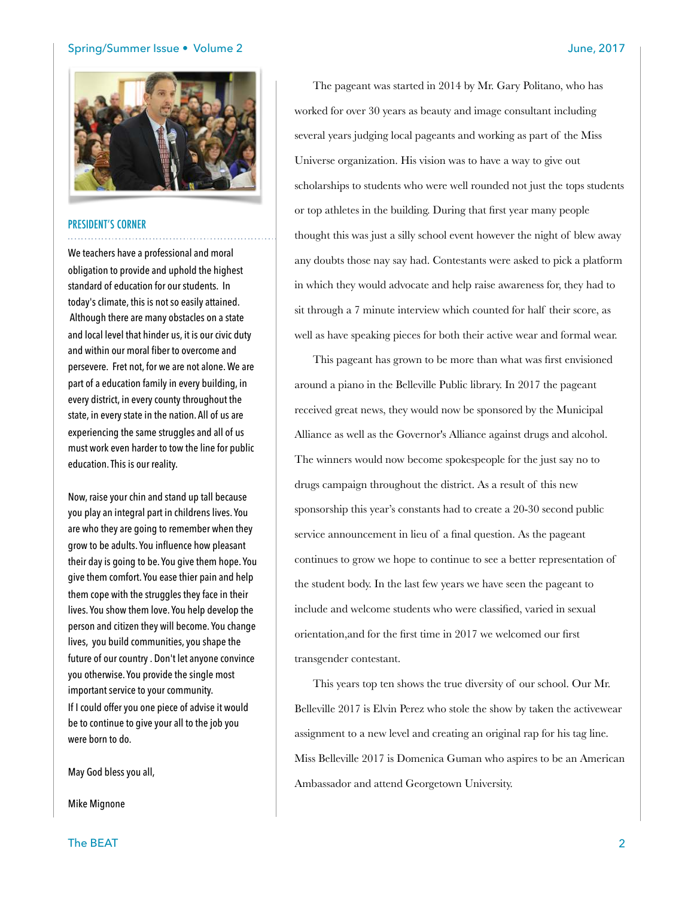### Spring/Summer Issue • Volume 2 June, 2017



### PRESIDENT'S CORNER

We teachers have a professional and moral obligation to provide and uphold the highest standard of education for our students. In today's climate, this is not so easily attained. Although there are many obstacles on a state and local level that hinder us, it is our civic duty and within our moral fiber to overcome and persevere. Fret not, for we are not alone. We are part of a education family in every building, in every district, in every county throughout the state, in every state in the nation. All of us are experiencing the same struggles and all of us must work even harder to tow the line for public education. This is our reality.

Now, raise your chin and stand up tall because you play an integral part in childrens lives. You are who they are going to remember when they grow to be adults. You influence how pleasant their day is going to be. You give them hope. You give them comfort. You ease thier pain and help them cope with the struggles they face in their lives. You show them love. You help develop the person and citizen they will become. You change lives, you build communities, you shape the future of our country . Don't let anyone convince you otherwise. You provide the single most important service to your community. If I could offer you one piece of advise it would be to continue to give your all to the job you were born to do.

May God bless you all,

Mike Mignone

The pageant was started in 2014 by Mr. Gary Politano, who has worked for over 30 years as beauty and image consultant including several years judging local pageants and working as part of the Miss Universe organization. His vision was to have a way to give out scholarships to students who were well rounded not just the tops students or top athletes in the building. During that first year many people thought this was just a silly school event however the night of blew away any doubts those nay say had. Contestants were asked to pick a platform in which they would advocate and help raise awareness for, they had to sit through a 7 minute interview which counted for half their score, as well as have speaking pieces for both their active wear and formal wear.

This pageant has grown to be more than what was first envisioned around a piano in the Belleville Public library. In 2017 the pageant received great news, they would now be sponsored by the Municipal Alliance as well as the Governor's Alliance against drugs and alcohol. The winners would now become spokespeople for the just say no to drugs campaign throughout the district. As a result of this new sponsorship this year's constants had to create a 20-30 second public service announcement in lieu of a final question. As the pageant continues to grow we hope to continue to see a better representation of the student body. In the last few years we have seen the pageant to include and welcome students who were classified, varied in sexual orientation,and for the first time in 2017 we welcomed our first transgender contestant.

This years top ten shows the true diversity of our school. Our Mr. Belleville 2017 is Elvin Perez who stole the show by taken the activewear assignment to a new level and creating an original rap for his tag line. Miss Belleville 2017 is Domenica Guman who aspires to be an American Ambassador and attend Georgetown University.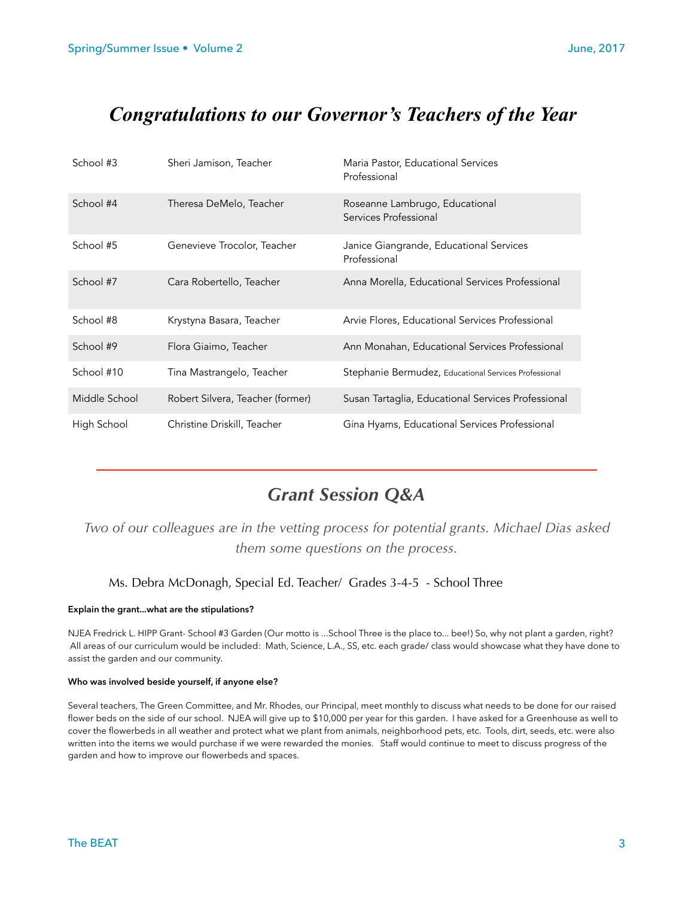# *Congratulations to our Governor's Teachers of the Year*

| School #3     | Sheri Jamison, Teacher           | Maria Pastor, Educational Services<br>Professional      |
|---------------|----------------------------------|---------------------------------------------------------|
| School #4     | Theresa DeMelo, Teacher          | Roseanne Lambrugo, Educational<br>Services Professional |
| School #5     | Genevieve Trocolor, Teacher      | Janice Giangrande, Educational Services<br>Professional |
| School #7     | Cara Robertello, Teacher         | Anna Morella, Educational Services Professional         |
| School #8     | Krystyna Basara, Teacher         | Arvie Flores, Educational Services Professional         |
| School #9     | Flora Giaimo, Teacher            | Ann Monahan, Educational Services Professional          |
| School #10    | Tina Mastrangelo, Teacher        | Stephanie Bermudez, Educational Services Professional   |
| Middle School | Robert Silvera, Teacher (former) | Susan Tartaglia, Educational Services Professional      |
| High School   | Christine Driskill, Teacher      | Gina Hyams, Educational Services Professional           |

# *Grant Session Q&A*

*Two of our colleagues are in the vetting process for potential grants. Michael Dias asked them some questions on the process.* 

### Ms. Debra McDonagh, Special Ed. Teacher/ Grades 3-4-5 - School Three

### **Explain the grant...what are the stipulations?**

NJEA Fredrick L. HIPP Grant- School #3 Garden (Our motto is ...School Three is the place to... bee!) So, why not plant a garden, right? All areas of our curriculum would be included: Math, Science, L.A., SS, etc. each grade/ class would showcase what they have done to assist the garden and our community.

### **Who was involved beside yourself, if anyone else?**

Several teachers, The Green Committee, and Mr. Rhodes, our Principal, meet monthly to discuss what needs to be done for our raised flower beds on the side of our school. NJEA will give up to \$10,000 per year for this garden. I have asked for a Greenhouse as well to cover the flowerbeds in all weather and protect what we plant from animals, neighborhood pets, etc. Tools, dirt, seeds, etc. were also written into the items we would purchase if we were rewarded the monies. Staff would continue to meet to discuss progress of the garden and how to improve our flowerbeds and spaces.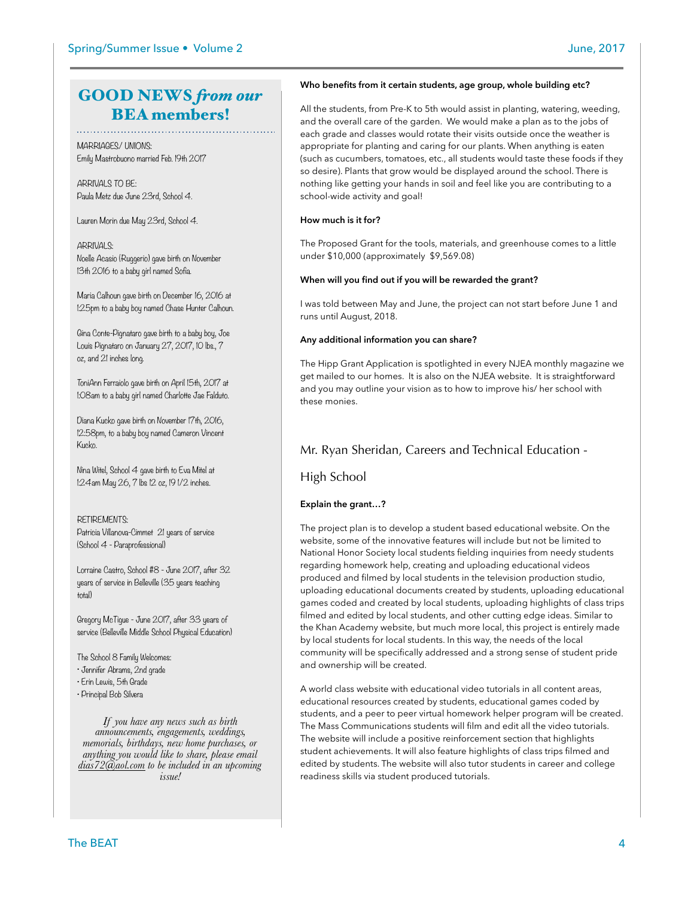# GOOD NEWS *from our* BEA members!

MARRIAGES/ UNIONS: Emily Mastrobuono married Feb. 19th 2017

ARRIVALS TO BE: Paula Metz due June 23rd, School 4.

Lauren Morin due May 23rd, School 4.

ARRIVALS: Noelle Acasio (Ruggerio) gave birth on November 13th 2016 to a baby girl named Sofia.

Maria Calhoun gave birth on December 16, 2016 at 1:25pm to a baby boy named Chase Hunter Calhoun.

Gina Conte-Pignataro gave birth to a baby boy, Joe Louis Pignataro on January 27, 2017, 10 lbs., 7 oz, and 21 inches long.

ToniAnn Ferraiolo gave birth on April 15th, 2017 at 1:08am to a baby girl named Charlotte Jae Falduto.

Diana Kucko gave birth on November 17th, 2016, 12:58pm, to a baby boy named Cameron Vincent Kucko.

Nina Witel, School 4 gave birth to Eva Mitel at 1:24am May 26, 7 lbs 12 oz, 19 1/2 inches.

### RETIREMENTS:

Patricia Villanova-Cimmet 21 years of service (School 4 - Paraprofessional)

Lorraine Castro, School #8 - June 2017, after 32 years of service in Belleville (35 years teaching total)

Gregory McTigue - June 2017, after 33 years of service (Belleville Middle School Physical Education)

The School 8 Family Welcomes:

- Jennifer Abrams, 2nd grade
- Erin Lewis, 5th Grade
- Principal Bob Silvera

*If you have any news such as birth announcements, engagements, weddings, memorials, birthdays, new home purchases, or anything you would like to share, please email [dias72@aol.com](mailto:dias72@aol.com) to be included in an upcoming issue!*

### **Who benefits from it certain students, age group, whole building etc?**

All the students, from Pre-K to 5th would assist in planting, watering, weeding, and the overall care of the garden. We would make a plan as to the jobs of each grade and classes would rotate their visits outside once the weather is appropriate for planting and caring for our plants. When anything is eaten (such as cucumbers, tomatoes, etc., all students would taste these foods if they so desire). Plants that grow would be displayed around the school. There is nothing like getting your hands in soil and feel like you are contributing to a school-wide activity and goal!

### **How much is it for?**

The Proposed Grant for the tools, materials, and greenhouse comes to a little under \$10,000 (approximately \$9,569.08)

### **When will you find out if you will be rewarded the grant?**

I was told between May and June, the project can not start before June 1 and runs until August, 2018.

### **Any additional information you can share?**

The Hipp Grant Application is spotlighted in every NJEA monthly magazine we get mailed to our homes. It is also on the NJEA website. It is straightforward and you may outline your vision as to how to improve his/ her school with these monies.

### Mr. Ryan Sheridan, Careers and Technical Education -

### High School

### **Explain the grant…?**

The project plan is to develop a student based educational website. On the website, some of the innovative features will include but not be limited to National Honor Society local students fielding inquiries from needy students regarding homework help, creating and uploading educational videos produced and filmed by local students in the television production studio, uploading educational documents created by students, uploading educational games coded and created by local students, uploading highlights of class trips filmed and edited by local students, and other cutting edge ideas. Similar to the Khan Academy website, but much more local, this project is entirely made by local students for local students. In this way, the needs of the local community will be specifically addressed and a strong sense of student pride and ownership will be created.

A world class website with educational video tutorials in all content areas, educational resources created by students, educational games coded by students, and a peer to peer virtual homework helper program will be created. The Mass Communications students will film and edit all the video tutorials. The website will include a positive reinforcement section that highlights student achievements. It will also feature highlights of class trips filmed and edited by students. The website will also tutor students in career and college readiness skills via student produced tutorials.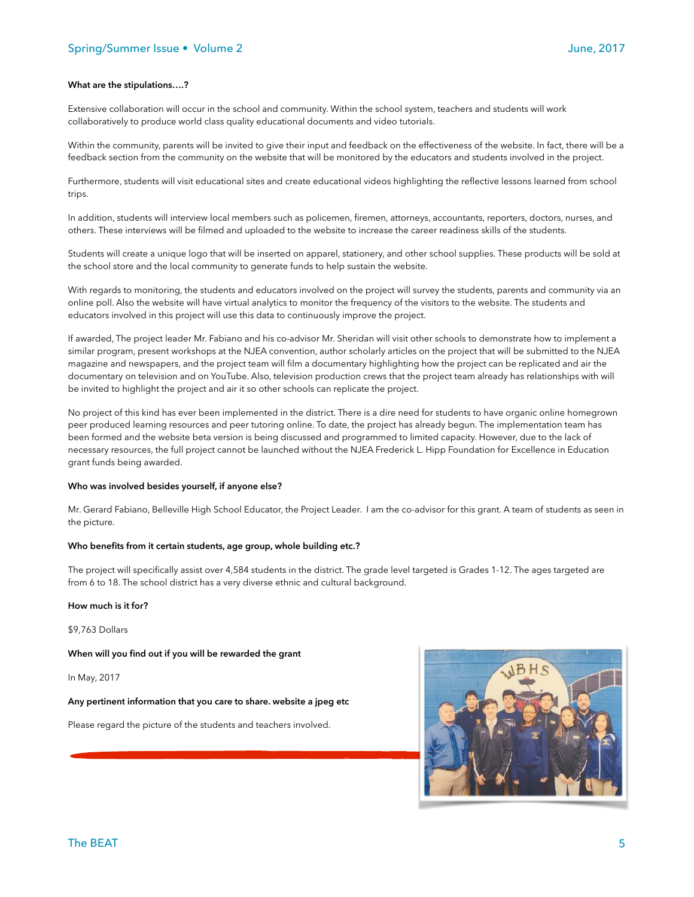### **What are the stipulations….?**

Extensive collaboration will occur in the school and community. Within the school system, teachers and students will work collaboratively to produce world class quality educational documents and video tutorials.

Within the community, parents will be invited to give their input and feedback on the effectiveness of the website. In fact, there will be a feedback section from the community on the website that will be monitored by the educators and students involved in the project.

Furthermore, students will visit educational sites and create educational videos highlighting the reflective lessons learned from school trips.

In addition, students will interview local members such as policemen, firemen, attorneys, accountants, reporters, doctors, nurses, and others. These interviews will be filmed and uploaded to the website to increase the career readiness skills of the students.

Students will create a unique logo that will be inserted on apparel, stationery, and other school supplies. These products will be sold at the school store and the local community to generate funds to help sustain the website.

With regards to monitoring, the students and educators involved on the project will survey the students, parents and community via an online poll. Also the website will have virtual analytics to monitor the frequency of the visitors to the website. The students and educators involved in this project will use this data to continuously improve the project.

If awarded, The project leader Mr. Fabiano and his co-advisor Mr. Sheridan will visit other schools to demonstrate how to implement a similar program, present workshops at the NJEA convention, author scholarly articles on the project that will be submitted to the NJEA magazine and newspapers, and the project team will film a documentary highlighting how the project can be replicated and air the documentary on television and on YouTube. Also, television production crews that the project team already has relationships with will be invited to highlight the project and air it so other schools can replicate the project.

No project of this kind has ever been implemented in the district. There is a dire need for students to have organic online homegrown peer produced learning resources and peer tutoring online. To date, the project has already begun. The implementation team has been formed and the website beta version is being discussed and programmed to limited capacity. However, due to the lack of necessary resources, the full project cannot be launched without the NJEA Frederick L. Hipp Foundation for Excellence in Education grant funds being awarded.

#### **Who was involved besides yourself, if anyone else?**

Mr. Gerard Fabiano, Belleville High School Educator, the Project Leader. I am the co-advisor for this grant. A team of students as seen in the picture.

### **Who benefits from it certain students, age group, whole building etc.?**

The project will specifically assist over 4,584 students in the district. The grade level targeted is Grades 1-12. The ages targeted are from 6 to 18. The school district has a very diverse ethnic and cultural background.

### **How much is it for?**

\$9,763 Dollars

**When will you find out if you will be rewarded the grant** 

In May, 2017

#### **Any pertinent information that you care to share. website a jpeg etc**

Please regard the picture of the students and teachers involved.

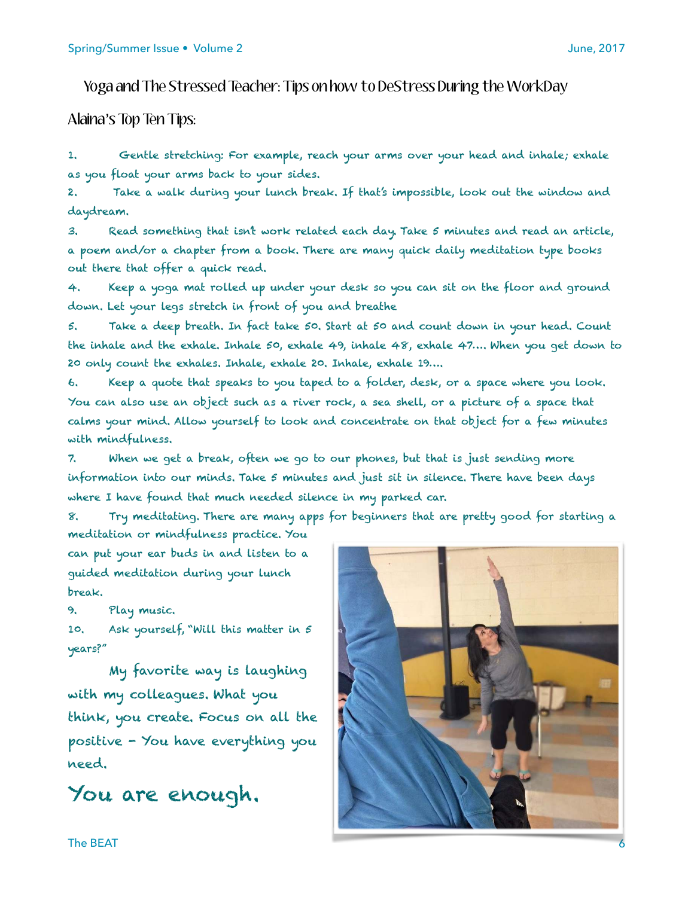# Yoga and The Stressed Teacher: Tips on how to DeStress During the WorkDay

Alaina's Top Ten Tips:

*1. Gentle stretching: For example, reach your arms over your head and inhale; exhale as you float your arms back to your sides.* 

*2. Take a walk during your lunch break. If that's impossible, look out the window and daydream.* 

*3. Read something that isn't work related each day. Take 5 minutes and read an article, a poem and/or a chapter from a book. There are many quick daily meditation type books out there that offer a quick read.* 

*4. Keep a yoga mat rolled up under your desk so you can sit on the floor and ground down. Let your legs stretch in front of you and breathe* 

*5. Take a deep breath. In fact take 50. Start at 50 and count down in your head. Count the inhale and the exhale. Inhale 50, exhale 49, inhale 48, exhale 47…. When you get down to 20 only count the exhales. Inhale, exhale 20. Inhale, exhale 19….* 

*6. Keep a quote that speaks to you taped to a folder, desk, or a space where you look. You can also use an object such as a river rock, a sea shell, or a picture of a space that calms your mind. Allow yourself to look and concentrate on that object for a few minutes with mindfulness.* 

*7. When we get a break, often we go to our phones, but that is just sending more information into our minds. Take 5 minutes and just sit in silence. There have been days where I have found that much needed silence in my parked car.* 

*8. Try meditating. There are many apps for beginners that are pretty good for starting a meditation or mindfulness practice. You* 

*can put your ear buds in and listen to a guided meditation during your lunch break.* 

*9. Play music.* 

*10. Ask yourself, "Will this matter in 5 years?"* 

*My favorite way is laughing with my colleagues. What you think, you create. Focus on all the positive - You have everything you need.* 

*You are enough.* 

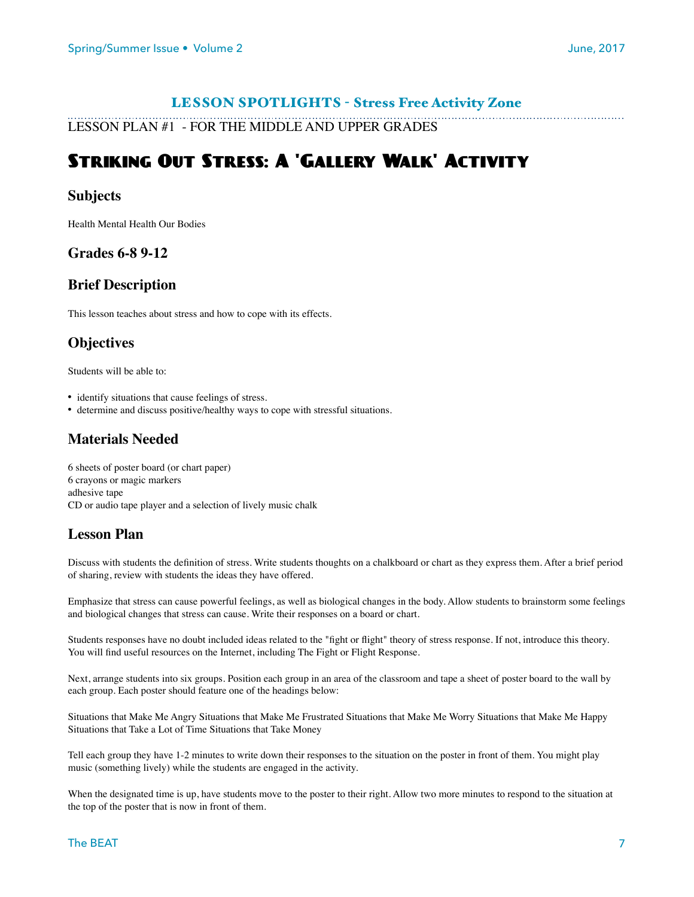# LESSON SPOTLIGHTS - Stress Free Activity Zone

LESSON PLAN #1 - FOR THE MIDDLE AND UPPER GRADES

# Striking Out Stress: A 'Gallery Walk' Activity

# **Subjects**

Health Mental Health Our Bodies

## **Grades 6-8 9-12**

# **Brief Description**

This lesson teaches about stress and how to cope with its effects.

# **Objectives**

Students will be able to:

- identify situations that cause feelings of stress.
- determine and discuss positive/healthy ways to cope with stressful situations.

# **Materials Needed**

6 sheets of poster board (or chart paper) 6 crayons or magic markers adhesive tape CD or audio tape player and a selection of lively music chalk

# **Lesson Plan**

Discuss with students the definition of stress. Write students thoughts on a chalkboard or chart as they express them. After a brief period of sharing, review with students the ideas they have offered.

Emphasize that stress can cause powerful feelings, as well as biological changes in the body. Allow students to brainstorm some feelings and biological changes that stress can cause. Write their responses on a board or chart.

Students responses have no doubt included ideas related to the "fight or flight" theory of stress response. If not, introduce this theory. You will find useful resources on the Internet, including The Fight or Flight Response.

Next, arrange students into six groups. Position each group in an area of the classroom and tape a sheet of poster board to the wall by each group. Each poster should feature one of the headings below:

Situations that Make Me Angry Situations that Make Me Frustrated Situations that Make Me Worry Situations that Make Me Happy Situations that Take a Lot of Time Situations that Take Money

Tell each group they have 1-2 minutes to write down their responses to the situation on the poster in front of them. You might play music (something lively) while the students are engaged in the activity.

When the designated time is up, have students move to the poster to their right. Allow two more minutes to respond to the situation at the top of the poster that is now in front of them.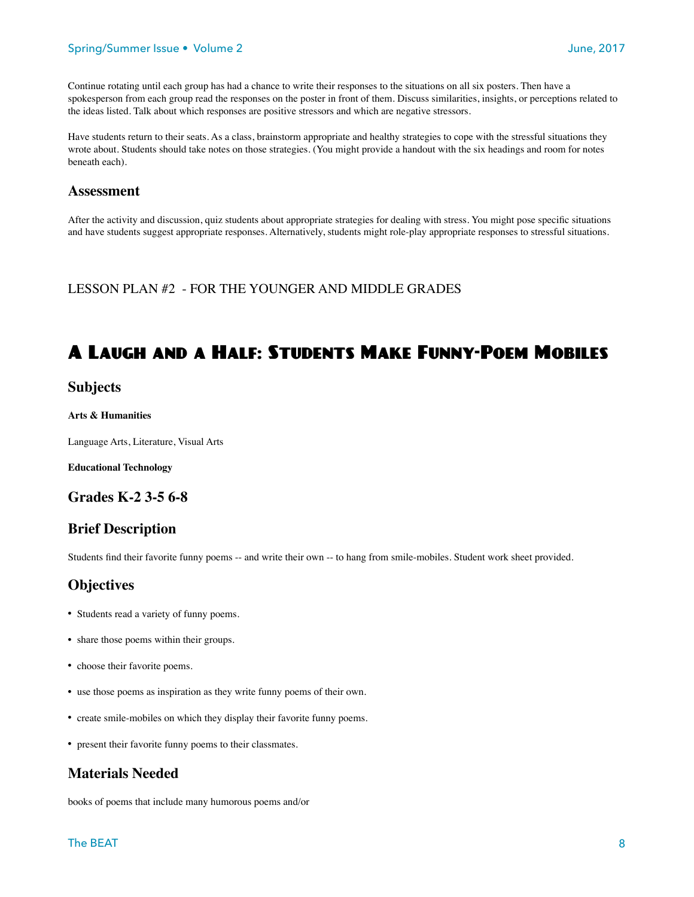### Spring/Summer Issue • Volume 2 June, 2017

Continue rotating until each group has had a chance to write their responses to the situations on all six posters. Then have a spokesperson from each group read the responses on the poster in front of them. Discuss similarities, insights, or perceptions related to the ideas listed. Talk about which responses are positive stressors and which are negative stressors.

Have students return to their seats. As a class, brainstorm appropriate and healthy strategies to cope with the stressful situations they wrote about. Students should take notes on those strategies. (You might provide a handout with the six headings and room for notes beneath each).

### **Assessment**

After the activity and discussion, quiz students about appropriate strategies for dealing with stress. You might pose specific situations and have students suggest appropriate responses. Alternatively, students might role-play appropriate responses to stressful situations.

LESSON PLAN #2 - FOR THE YOUNGER AND MIDDLE GRADES

# A Laugh and a Half: Students Make Funny-Poem Mobiles

### **Subjects**

#### **Arts & Humanities**

Language Arts, Literature, Visual Arts

**Educational Technology** 

### **Grades K-2 3-5 6-8**

## **Brief Description**

Students find their favorite funny poems -- and write their own -- to hang from smile-mobiles. Student work sheet provided.

# **Objectives**

- Students read a variety of funny poems.
- share those poems within their groups.
- choose their favorite poems.
- use those poems as inspiration as they write funny poems of their own.
- create smile-mobiles on which they display their favorite funny poems.
- present their favorite funny poems to their classmates.

# **Materials Needed**

books of poems that include many humorous poems and/or

### The BEAT 8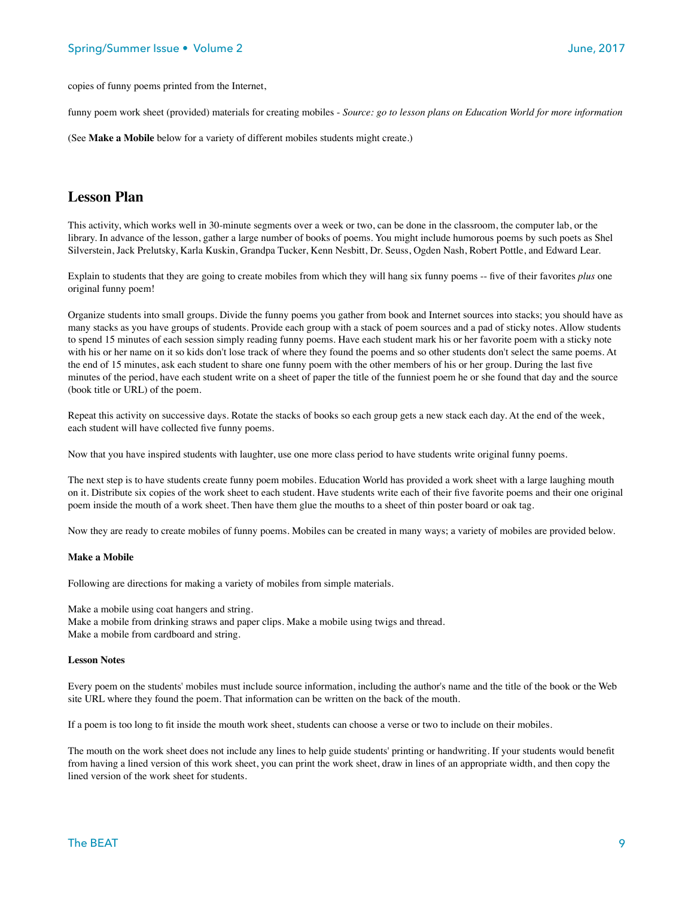copies of funny poems printed from the Internet,

funny poem work sheet (provided) materials for creating mobiles - *Source: go to lesson plans on Education World for more information*

(See **Make a Mobile** below for a variety of different mobiles students might create.)

### **Lesson Plan**

This activity, which works well in 30-minute segments over a week or two, can be done in the classroom, the computer lab, or the library. In advance of the lesson, gather a large number of books of poems. You might include humorous poems by such poets as Shel Silverstein, Jack Prelutsky, Karla Kuskin, Grandpa Tucker, Kenn Nesbitt, Dr. Seuss, Ogden Nash, Robert Pottle, and Edward Lear.

Explain to students that they are going to create mobiles from which they will hang six funny poems -- five of their favorites *plus* one original funny poem!

Organize students into small groups. Divide the funny poems you gather from book and Internet sources into stacks; you should have as many stacks as you have groups of students. Provide each group with a stack of poem sources and a pad of sticky notes. Allow students to spend 15 minutes of each session simply reading funny poems. Have each student mark his or her favorite poem with a sticky note with his or her name on it so kids don't lose track of where they found the poems and so other students don't select the same poems. At the end of 15 minutes, ask each student to share one funny poem with the other members of his or her group. During the last five minutes of the period, have each student write on a sheet of paper the title of the funniest poem he or she found that day and the source (book title or URL) of the poem.

Repeat this activity on successive days. Rotate the stacks of books so each group gets a new stack each day. At the end of the week, each student will have collected five funny poems.

Now that you have inspired students with laughter, use one more class period to have students write original funny poems.

The next step is to have students create funny poem mobiles. Education World has provided a work sheet with a large laughing mouth on it. Distribute six copies of the work sheet to each student. Have students write each of their five favorite poems and their one original poem inside the mouth of a work sheet. Then have them glue the mouths to a sheet of thin poster board or oak tag.

Now they are ready to create mobiles of funny poems. Mobiles can be created in many ways; a variety of mobiles are provided below.

### **Make a Mobile**

Following are directions for making a variety of mobiles from simple materials.

Make a mobile using coat hangers and string. Make a mobile from drinking straws and paper clips. Make a mobile using twigs and thread. Make a mobile from cardboard and string.

#### **Lesson Notes**

Every poem on the students' mobiles must include source information, including the author's name and the title of the book or the Web site URL where they found the poem. That information can be written on the back of the mouth.

If a poem is too long to fit inside the mouth work sheet, students can choose a verse or two to include on their mobiles.

The mouth on the work sheet does not include any lines to help guide students' printing or handwriting. If your students would benefit from having a lined version of this work sheet, you can print the work sheet, draw in lines of an appropriate width, and then copy the lined version of the work sheet for students.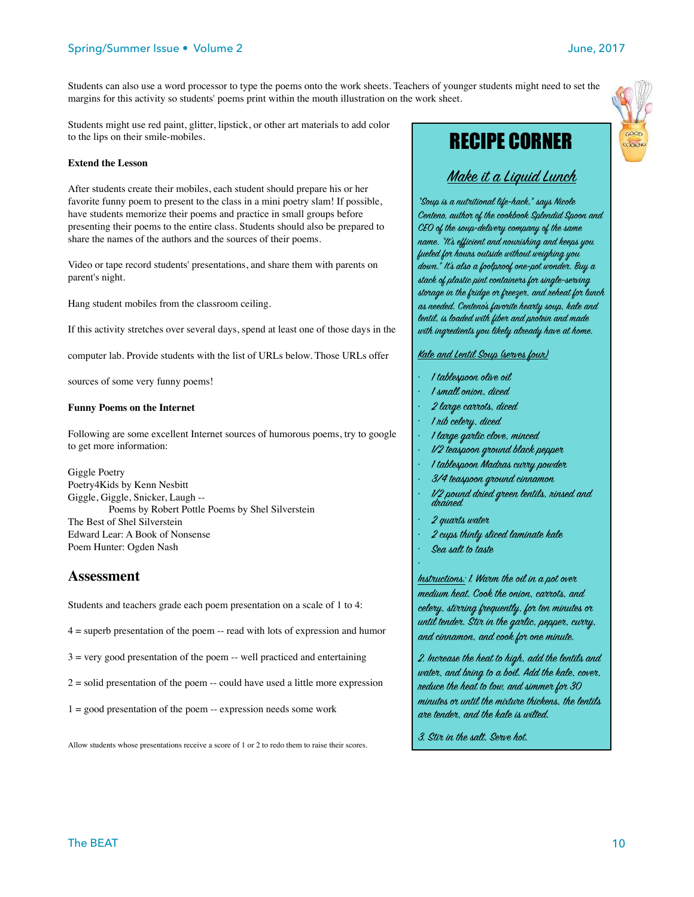### Spring/Summer Issue • Volume 2 June, 2017

Students can also use a word processor to type the poems onto the work sheets. Teachers of younger students might need to set the margins for this activity so students' poems print within the mouth illustration on the work sheet.

Students might use red paint, glitter, lipstick, or other art materials to add color to the lips on their smile-mobiles.

### **Extend the Lesson**

After students create their mobiles, each student should prepare his or her favorite funny poem to present to the class in a mini poetry slam! If possible, have students memorize their poems and practice in small groups before presenting their poems to the entire class. Students should also be prepared to share the names of the authors and the sources of their poems.

Video or tape record students' presentations, and share them with parents on parent's night.

Hang student mobiles from the classroom ceiling.

If this activity stretches over several days, spend at least one of those days in the

computer lab. Provide students with the list of URLs below. Those URLs offer

sources of some very funny poems!

### **Funny Poems on the Internet**

Following are some excellent Internet sources of humorous poems, try to google to get more information:

Giggle Poetry Poetry4Kids by Kenn Nesbitt Giggle, Giggle, Snicker, Laugh -- Poems by Robert Pottle Poems by Shel Silverstein The Best of Shel Silverstein Edward Lear: A Book of Nonsense Poem Hunter: Ogden Nash

### **Assessment**

Students and teachers grade each poem presentation on a scale of 1 to 4:

 $4 =$  superb presentation of the poem  $-$  read with lots of expression and humor

 $3 =$  very good presentation of the poem  $-$  well practiced and entertaining

 $2 =$  solid presentation of the poem  $-$  could have used a little more expression

1 = good presentation of the poem -- expression needs some work

Allow students whose presentations receive a score of 1 or 2 to redo them to raise their scores.

# RECIPE CORNER

# *Make it a Liquid Lunch*

*"S*ou*p is a nu*tr*iti*on*al life-hack," says Nic*ol*e Centeno, auth*or *of the c*oo*kb*oo*k Splendid Sp*oo*n and CEO of the s*ou*p-deliv*er*y c*om*pany of the same name. "It's efficient and n*ou*rishing and keeps y*ou *fueled f*or *h*ou*rs* ou*tside with*ou*t weighing y*ou *d*ow*n." It's also a f*oo*lpr*oo*f* on*e-pot w*on*d*er*. Buy a stack of plastic pint c*on*tain*er*s f*or *single-s*er*ving st*or*age in the* fr*idge* or fr*eez*er*, and reheat f*or *lunch as needed. Centeno's fav*or*ite he*ar*ty s*ou*p, kale and lentil, is loaded with fib*er *and protein and made with in*gr*edients y*ou *likely already have at h*om*e.* 

### *Kale and Lentil S*ou*p (s*er*ves f*ou*r)*

- *• 1 tablesp*oo*n* ol*ive* oi*l*
- *• 1 small* on*i*on*, diced*
- *• 2 l*ar*ge c*arr*ots, diced*
- *• 1 rib cel*er*y, diced*
- *• 1 l*ar*ge g*ar*lic cl*ov*e, minced*
- *• 1/2 teasp*oo*n* grou*nd black pepp*er
- *• 1 tablesp*oo*n Madras c*urr*y p*ow*d*er
- *• 3/4 teasp*oo*n* grou*nd cinnam*on
- *• 1/2 p*ou*nd dried* gr*een lentils, rinsed and drained*
- *• 2 qu*ar*ts wat*er
- *• 2 cups thinly sliced laminate kale*
- *• Sea salt to taste*

*•*

*Ins*tr*ucti*on*s: 1. W*ar*m the* oi*l in a pot* over *medium heat. C*oo*k the* on*i*on*, c*arr*ots, and cel*er*y, st*irr*ing* fr*equently, f*or *ten minutes* or *until tend*er*. St*ir *in the g*ar*lic, pepp*er*, c*urr*y, and cinnam*on*, and c*oo*k f*or on*e minute.* 

*2. In*cr*ease the heat to high, add the lentils and wat*er*, and bring to a b*oi*l. Add the kale, c*over*, reduce the heat to l*ow*, and simm*er *f*or *30 minutes* or *until the m*ix*t*ur*e thickens, the lentils*  ar*e tend*er*, and the kale is wilted.* 

*3. St*ir *in the salt. S*er*ve hot.*